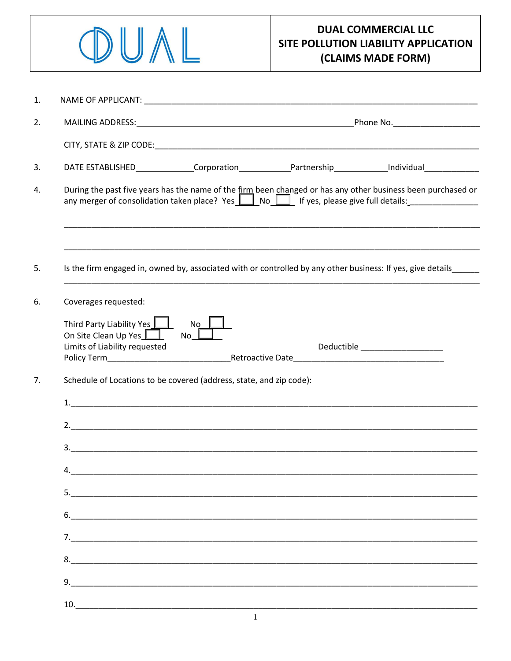

|                                                                           | DATE ESTABLISHED______________Corporation______________Partnership_____________Individual________________                                                                                             |  |  |
|---------------------------------------------------------------------------|-------------------------------------------------------------------------------------------------------------------------------------------------------------------------------------------------------|--|--|
|                                                                           | During the past five years has the name of the firm been changed or has any other business been purchased or<br>any merger of consolidation taken place? Yes    No    ryes, please give full details: |  |  |
|                                                                           | Is the firm engaged in, owned by, associated with or controlled by any other business: If yes, give details                                                                                           |  |  |
| Coverages requested:                                                      |                                                                                                                                                                                                       |  |  |
| Third Party Liability Yes $\Box$<br>On Site Clean Up Yes $\Box$ No $\Box$ | $No$ $\Box$                                                                                                                                                                                           |  |  |
|                                                                           | Schedule of Locations to be covered (address, state, and zip code):                                                                                                                                   |  |  |
|                                                                           |                                                                                                                                                                                                       |  |  |
|                                                                           |                                                                                                                                                                                                       |  |  |
|                                                                           |                                                                                                                                                                                                       |  |  |
| 4.                                                                        |                                                                                                                                                                                                       |  |  |
|                                                                           |                                                                                                                                                                                                       |  |  |
|                                                                           |                                                                                                                                                                                                       |  |  |
|                                                                           |                                                                                                                                                                                                       |  |  |
|                                                                           |                                                                                                                                                                                                       |  |  |
|                                                                           |                                                                                                                                                                                                       |  |  |
|                                                                           |                                                                                                                                                                                                       |  |  |